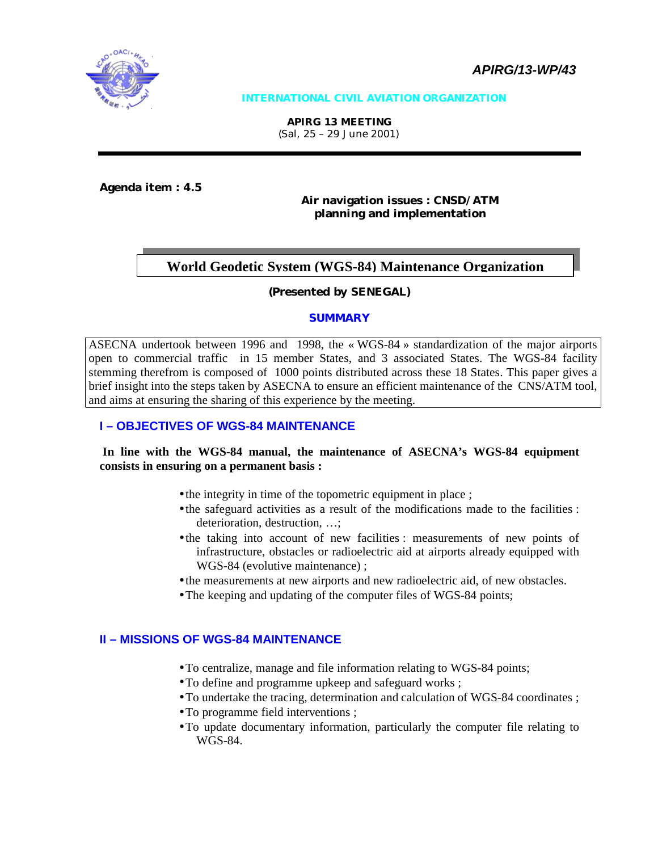

#### **INTERNATIONAL CIVIL AVIATION ORGANIZATION**

**APIRG 13 MEETING**  (Sal, 25 – 29 June 2001)

**Agenda item : 4.5** 

#### **Air navigation issues : CNSD/ATM planning and implementation**

#### **World Geodetic System (WGS-84) Maintenance Organization**

#### **(Presented by SENEGAL)**

#### **SUMMARY**

ASECNA undertook between 1996 and 1998, the « WGS-84 » standardization of the major airports open to commercial traffic in 15 member States, and 3 associated States. The WGS-84 facility stemming therefrom is composed of 1000 points distributed across these 18 States. This paper gives a brief insight into the steps taken by ASECNA to ensure an efficient maintenance of the CNS/ATM tool, and aims at ensuring the sharing of this experience by the meeting.

#### **I – OBJECTIVES OF WGS-84 MAINTENANCE**

#### **In line with the WGS-84 manual, the maintenance of ASECNA's WGS-84 equipment consists in ensuring on a permanent basis :**

- the integrity in time of the topometric equipment in place ;
- the safeguard activities as a result of the modifications made to the facilities : deterioration, destruction, …;
- the taking into account of new facilities : measurements of new points of infrastructure, obstacles or radioelectric aid at airports already equipped with WGS-84 (evolutive maintenance) ;
- the measurements at new airports and new radioelectric aid, of new obstacles.
- The keeping and updating of the computer files of WGS-84 points;

#### **II – MISSIONS OF WGS-84 MAINTENANCE**

- To centralize, manage and file information relating to WGS-84 points;
- To define and programme upkeep and safeguard works ;
- To undertake the tracing, determination and calculation of WGS-84 coordinates ;
- To programme field interventions ;
- To update documentary information, particularly the computer file relating to WGS-84.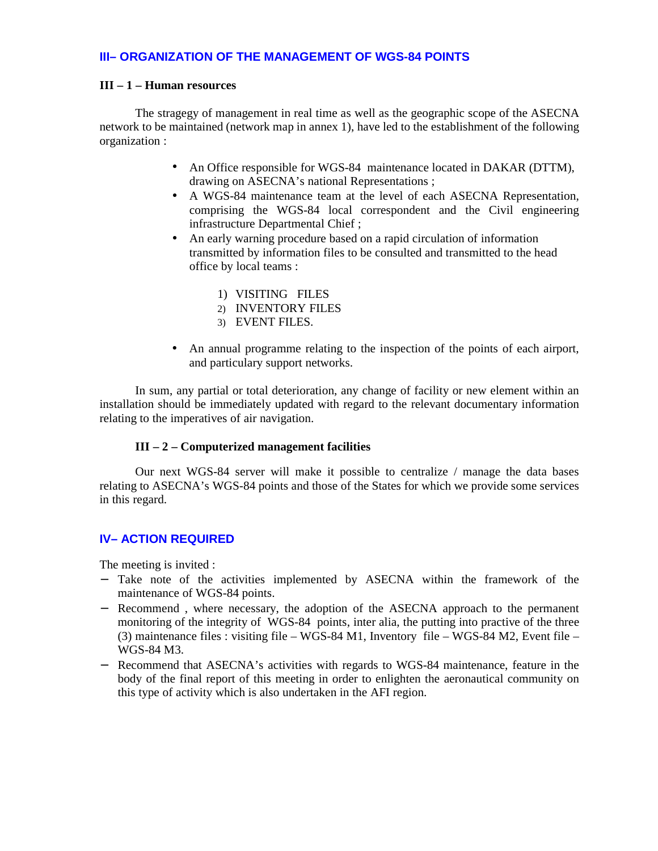#### **III– ORGANIZATION OF THE MANAGEMENT OF WGS-84 POINTS**

#### **III – 1 – Human resources**

The stragegy of management in real time as well as the geographic scope of the ASECNA network to be maintained (network map in annex 1), have led to the establishment of the following organization :

- An Office responsible for WGS-84 maintenance located in DAKAR (DTTM), drawing on ASECNA's national Representations ;
- A WGS-84 maintenance team at the level of each ASECNA Representation, comprising the WGS-84 local correspondent and the Civil engineering infrastructure Departmental Chief ;
- An early warning procedure based on a rapid circulation of information transmitted by information files to be consulted and transmitted to the head office by local teams :
	- 1) VISITING FILES
	- 2) INVENTORY FILES
	- 3) EVENT FILES.
- An annual programme relating to the inspection of the points of each airport, and particulary support networks.

In sum, any partial or total deterioration, any change of facility or new element within an installation should be immediately updated with regard to the relevant documentary information relating to the imperatives of air navigation.

#### **III – 2 – Computerized management facilities**

Our next WGS-84 server will make it possible to centralize / manage the data bases relating to ASECNA's WGS-84 points and those of the States for which we provide some services in this regard.

#### **IV– ACTION REQUIRED**

The meeting is invited :

- − Take note of the activities implemented by ASECNA within the framework of the maintenance of WGS-84 points.
- − Recommend , where necessary, the adoption of the ASECNA approach to the permanent monitoring of the integrity of WGS-84 points, inter alia, the putting into practive of the three (3) maintenance files : visiting file – WGS-84 M1, Inventory file – WGS-84 M2, Event file – WGS-84 M3.
- − Recommend that ASECNA's activities with regards to WGS-84 maintenance, feature in the body of the final report of this meeting in order to enlighten the aeronautical community on this type of activity which is also undertaken in the AFI region.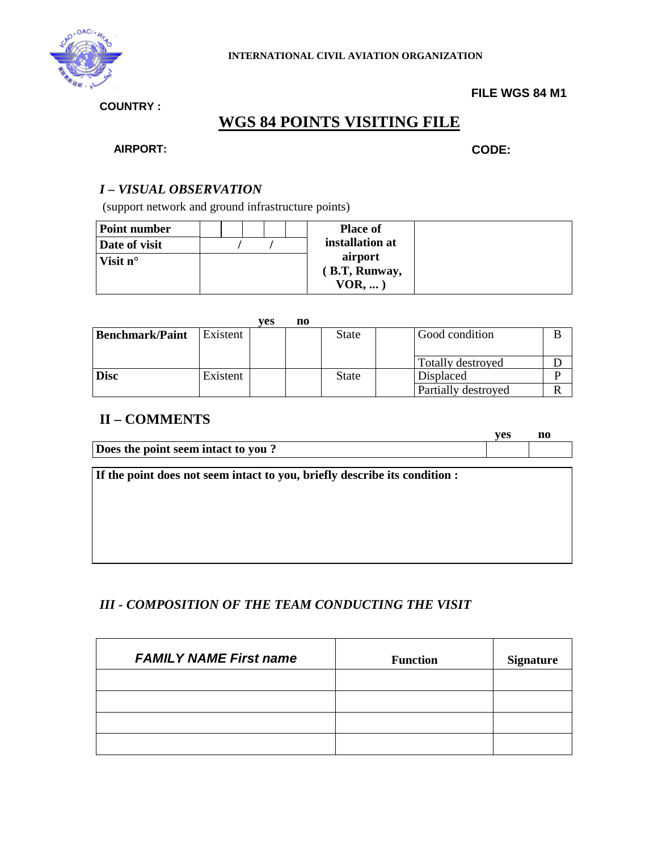

#### **FILE WGS 84 M1**

**COUNTRY :**

# **WGS 84 POINTS VISITING FILE**

#### **AIRPORT: CODE:**

#### *I – VISUAL OBSERVATION*

(support network and ground infrastructure points)

| <b>Point number</b> |  |  | <b>Place of</b> |  |
|---------------------|--|--|-----------------|--|
| Date of visit       |  |  | installation at |  |
| Visit $n^{\circ}$   |  |  | airport         |  |
|                     |  |  | (B.T, Runway,   |  |
|                     |  |  | $VOR$ ,         |  |

|                        |          | ves | n0 |              |                     |  |
|------------------------|----------|-----|----|--------------|---------------------|--|
| <b>Benchmark/Paint</b> | Existent |     |    | <b>State</b> | Good condition      |  |
|                        |          |     |    |              |                     |  |
|                        |          |     |    |              | Totally destroyed   |  |
| <b>Disc</b>            | Existent |     |    | <b>State</b> | Displaced           |  |
|                        |          |     |    |              | Partially destroyed |  |

### **II – COMMENTS**

|                                    | ves |  |
|------------------------------------|-----|--|
| Does the point seem intact to you? |     |  |

**If the point does not seem intact to you, briefly describe its condition :** 

#### *III - COMPOSITION OF THE TEAM CONDUCTING THE VISIT*

| <b>FAMILY NAME First name</b> | <b>Function</b> | <b>Signature</b> |
|-------------------------------|-----------------|------------------|
|                               |                 |                  |
|                               |                 |                  |
|                               |                 |                  |
|                               |                 |                  |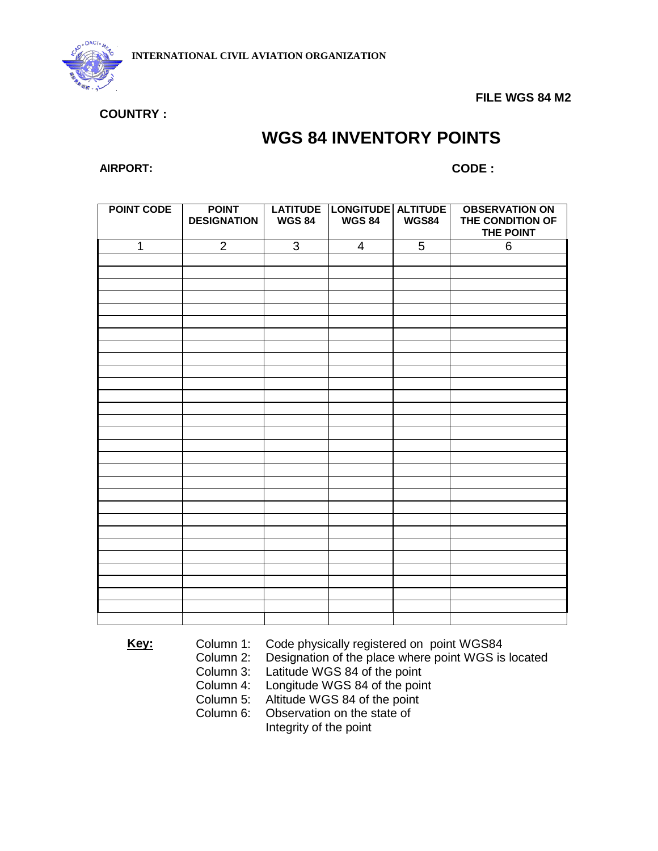

 **FILE WGS 84 M2** 

**COUNTRY :** 

# **WGS 84 INVENTORY POINTS**

**AIRPORT: CODE :** 

| <b>POINT CODE</b> | <b>POINT</b><br><b>DESIGNATION</b> | <b>WGS 84</b> | LATITUDE LONGITUDE ALTITUDE<br><b>WGS 84</b> | <b>WGS84</b> | <b>OBSERVATION ON</b><br>THE CONDITION OF<br>THE POINT |
|-------------------|------------------------------------|---------------|----------------------------------------------|--------------|--------------------------------------------------------|
| $\mathbf{1}$      | $\overline{2}$                     | 3             | $\overline{4}$                               | 5            | 6                                                      |
|                   |                                    |               |                                              |              |                                                        |
|                   |                                    |               |                                              |              |                                                        |
|                   |                                    |               |                                              |              |                                                        |
|                   |                                    |               |                                              |              |                                                        |
|                   |                                    |               |                                              |              |                                                        |
|                   |                                    |               |                                              |              |                                                        |
|                   |                                    |               |                                              |              |                                                        |
|                   |                                    |               |                                              |              |                                                        |
|                   |                                    |               |                                              |              |                                                        |
|                   |                                    |               |                                              |              |                                                        |
|                   |                                    |               |                                              |              |                                                        |
|                   |                                    |               |                                              |              |                                                        |
|                   |                                    |               |                                              |              |                                                        |
|                   |                                    |               |                                              |              |                                                        |
|                   |                                    |               |                                              |              |                                                        |
|                   |                                    |               |                                              |              |                                                        |
|                   |                                    |               |                                              |              |                                                        |
|                   |                                    |               |                                              |              |                                                        |
|                   |                                    |               |                                              |              |                                                        |
|                   |                                    |               |                                              |              |                                                        |
|                   |                                    |               |                                              |              |                                                        |
|                   |                                    |               |                                              |              |                                                        |
|                   |                                    |               |                                              |              |                                                        |
|                   |                                    |               |                                              |              |                                                        |
|                   |                                    |               |                                              |              |                                                        |
|                   |                                    |               |                                              |              |                                                        |
|                   |                                    |               |                                              |              |                                                        |
|                   |                                    |               |                                              |              |                                                        |
|                   |                                    |               |                                              |              |                                                        |

**Key:** Column 1: Code physically registered on point WGS84

Column 2: Designation of the place where point WGS is located

Latitude WGS 84 of the point

Column 4: Longitude WGS 84 of the point

Column 5: Altitude WGS 84 of the point

Column 6: Observation on the state of

Integrity of the point